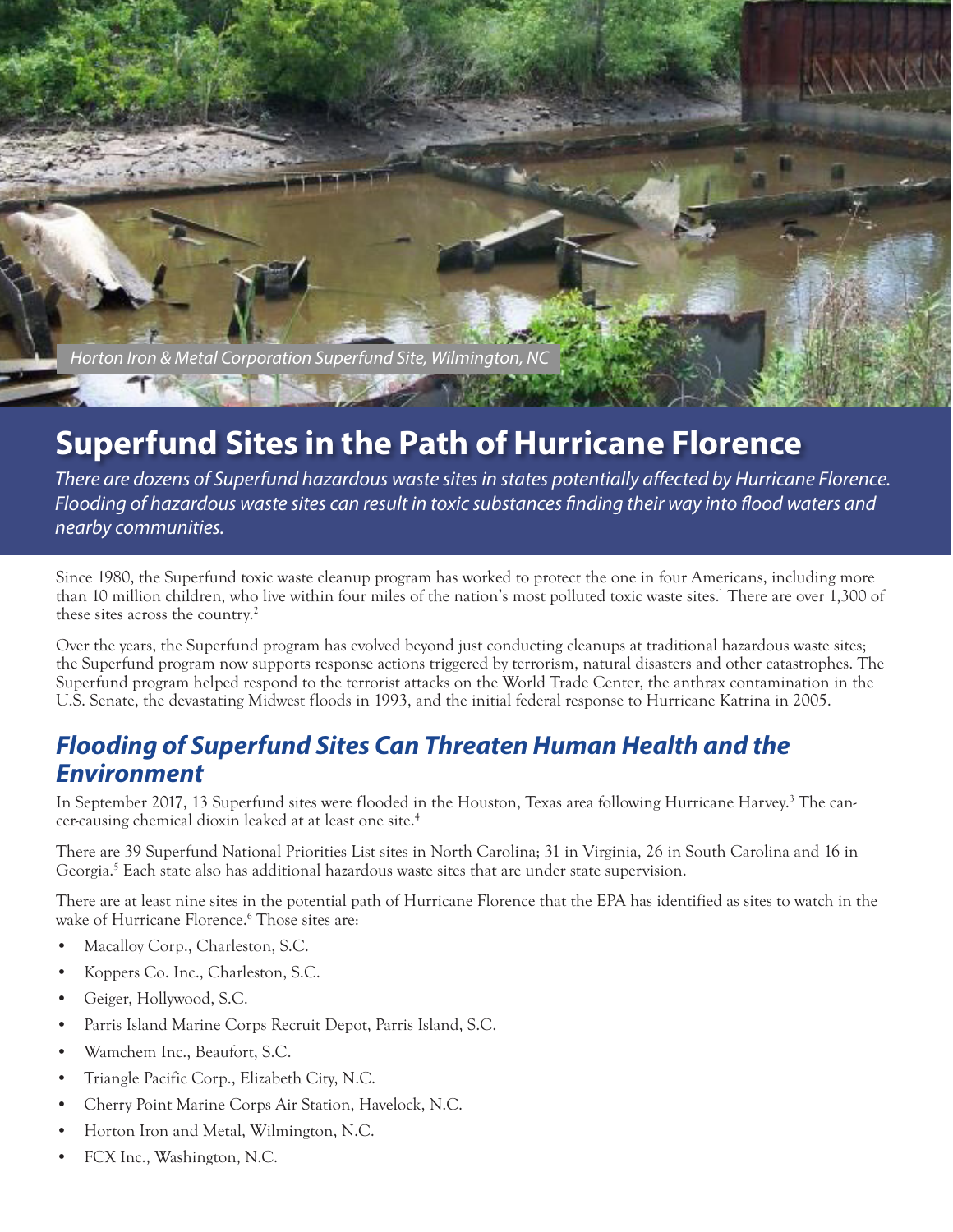*Horton Iron & Metal Corporation Superfund Site, Wilmington, NC*

## **Superfund Sites in the Path of Hurricane Florence**

*There are dozens of Superfund hazardous waste sites in states potentially affected by Hurricane Florence. Flooding of hazardous waste sites can result in toxic substances finding their way into flood waters and nearby communities.*

Since 1980, the Superfund toxic waste cleanup program has worked to protect the one in four Americans, including more than 10 million children, who live within four miles of the nation's most polluted toxic waste sites.<sup>1</sup> There are over 1,300 of these sites across the country.2

Over the years, the Superfund program has evolved beyond just conducting cleanups at traditional hazardous waste sites; the Superfund program now supports response actions triggered by terrorism, natural disasters and other catastrophes. The Superfund program helped respond to the terrorist attacks on the World Trade Center, the anthrax contamination in the U.S. Senate, the devastating Midwest floods in 1993, and the initial federal response to Hurricane Katrina in 2005.

## *Flooding of Superfund Sites Can Threaten Human Health and the Environment*

In September 2017, 13 Superfund sites were flooded in the Houston, Texas area following Hurricane Harvey.<sup>3</sup> The cancer-causing chemical dioxin leaked at at least one site.4

There are 39 Superfund National Priorities List sites in North Carolina; 31 in Virginia, 26 in South Carolina and 16 in Georgia.<sup>5</sup> Each state also has additional hazardous waste sites that are under state supervision.

There are at least nine sites in the potential path of Hurricane Florence that the EPA has identified as sites to watch in the wake of Hurricane Florence.6 Those sites are:

- Macalloy Corp., Charleston, S.C.
- Koppers Co. Inc., Charleston, S.C.
- Geiger, Hollywood, S.C.
- Parris Island Marine Corps Recruit Depot, Parris Island, S.C.
- Wamchem Inc., Beaufort, S.C.
- Triangle Pacific Corp., Elizabeth City, N.C.
- Cherry Point Marine Corps Air Station, Havelock, N.C.
- Horton Iron and Metal, Wilmington, N.C.
- FCX Inc., Washington, N.C.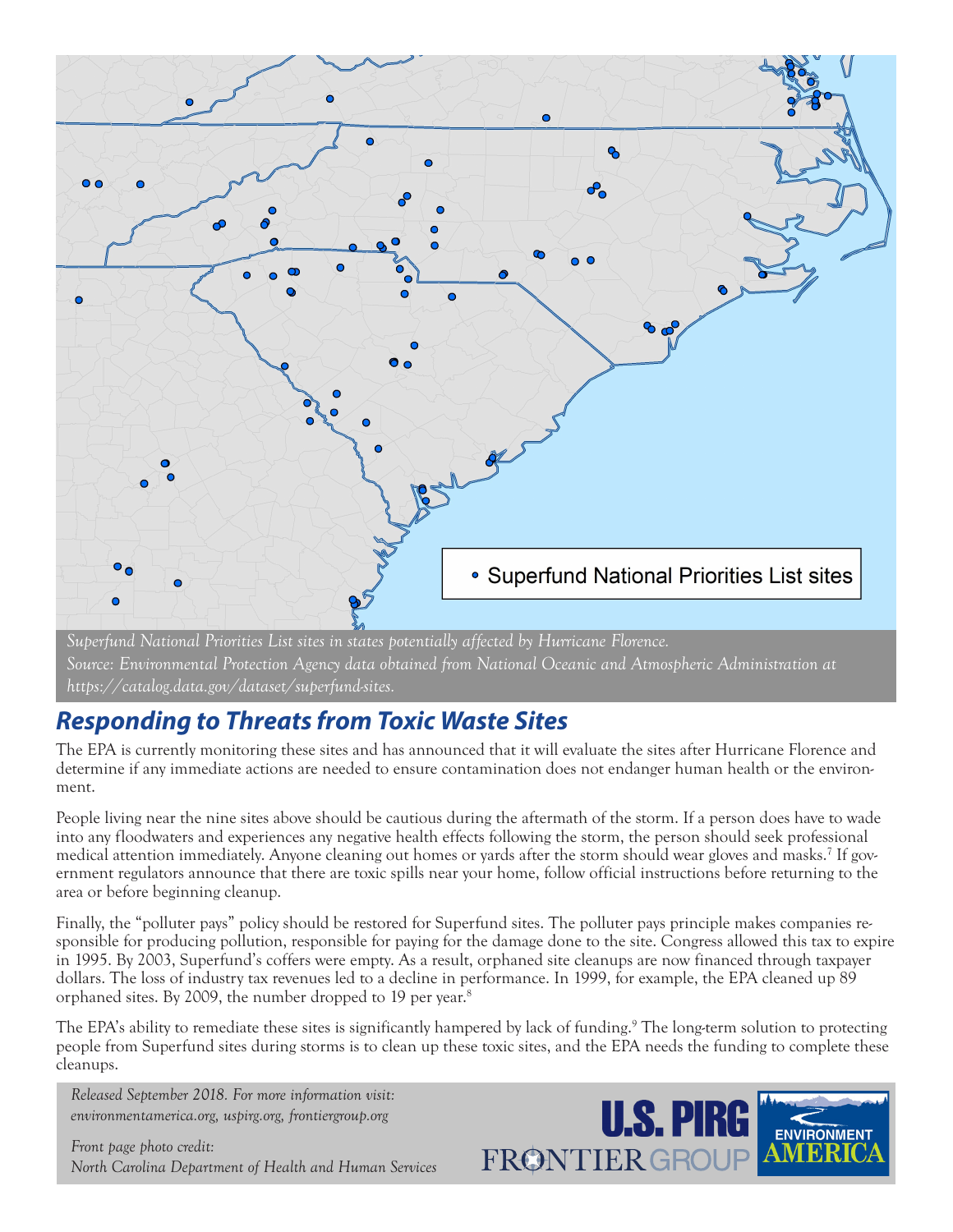

*Superfund National Priorities List sites in states potentially affected by Hurricane Florence. Source: Environmental Protection Agency data obtained from National Oceanic and Atmospheric Administration at https://catalog.data.gov/dataset/superfund-sites.*

## *Responding to Threats from Toxic Waste Sites*

The EPA is currently monitoring these sites and has announced that it will evaluate the sites after Hurricane Florence and determine if any immediate actions are needed to ensure contamination does not endanger human health or the environment.

People living near the nine sites above should be cautious during the aftermath of the storm. If a person does have to wade into any floodwaters and experiences any negative health effects following the storm, the person should seek professional medical attention immediately. Anyone cleaning out homes or yards after the storm should wear gloves and masks.<sup>7</sup> If government regulators announce that there are toxic spills near your home, follow official instructions before returning to the area or before beginning cleanup.

Finally, the "polluter pays" policy should be restored for Superfund sites. The polluter pays principle makes companies responsible for producing pollution, responsible for paying for the damage done to the site. Congress allowed this tax to expire in 1995. By 2003, Superfund's coffers were empty. As a result, orphaned site cleanups are now financed through taxpayer dollars. The loss of industry tax revenues led to a decline in performance. In 1999, for example, the EPA cleaned up 89 orphaned sites. By 2009, the number dropped to 19 per year.<sup>8</sup>

The EPA's ability to remediate these sites is significantly hampered by lack of funding.<sup>9</sup> The long-term solution to protecting people from Superfund sites during storms is to clean up these toxic sites, and the EPA needs the funding to complete these cleanups.

*Released September 2018. For more information visit: environmentamerica.org, uspirg.org, frontiergroup.org*

*Front page photo credit: North Carolina Department of Health and Human Services*